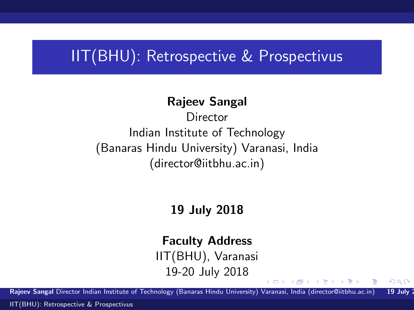### IIT(BHU): Retrospective & Prospectivus

#### Rajeev Sangal

**Director** Indian Institute of Technology (Banaras Hindu University) Varanasi, India (director@iitbhu.ac.in)

#### 19 July 2018

#### Faculty Address

IIT(BHU), Varanasi 19-20 July 2018

<span id="page-0-0"></span> $2990$ 

 $\langle \neg \Box \rangle$   $\rightarrow$   $\langle \Box \rangle$   $\rightarrow$   $\langle \Box \rangle$   $\rightarrow$ 

Rajeev Sangal Director Indian Institute of Technology (Banaras Hindu University) Varanasi, India (director@iitbhu.ac.in) 19 July 1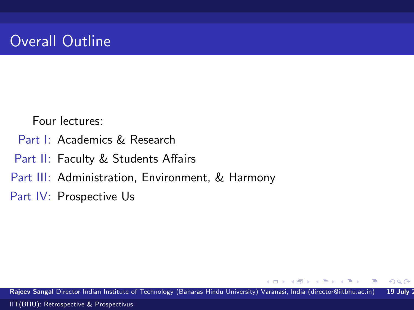# Overall Outline

Four lectures:

- Part I: Academics & Research
- Part II: Faculty & Students Affairs
- Part III: Administration, Environment, & Harmony
- Part IV: Prospective Us

Rajeev Sangal Director Indian Institute of Technology (Banaras Hindu University) Varanasi, India (director@iitbhu.ac.in) 19 July 2 [IIT\(BHU\): Retrospective & Prospectivus](#page-0-0)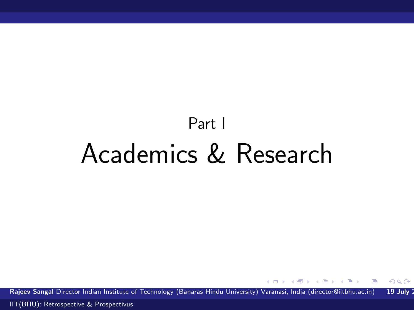# Part I Academics & Research

Rajeev Sangal Director Indian Institute of Technology (Banaras Hindu University) Varanasi, India (director@iitbhu.ac.in) 19 July 2

4 D F

**何 > - < 三 > - <** 

后

 $QQ$ 

Ε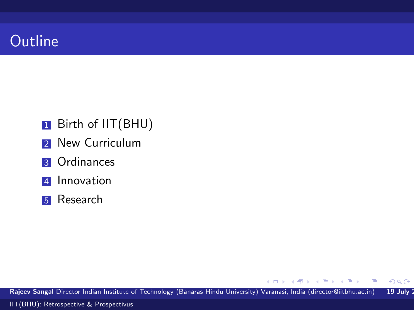### **Outline**

- **1** Birth of IIT(BHU)
- 2 New Curriculum
- **3** Ordinances
- **4** Innovation
- **5** Research

Rajeev Sangal Director Indian Institute of Technology (Banaras Hindu University) Varanasi, India (director@iitbhu.ac.in) 19 July 2 [IIT\(BHU\): Retrospective & Prospectivus](#page-0-0)

 $\langle \bigcap \mathbb{P} \rangle$   $\rightarrow$   $\langle \bigcap \mathbb{P} \rangle$   $\rightarrow$   $\langle \bigcap \mathbb{P} \rangle$ 

4.0.3

 $299$ 

重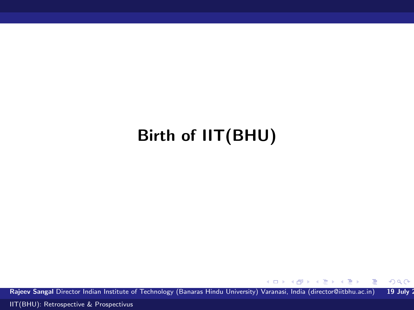# Birth of IIT(BHU)

Rajeev Sangal Director Indian Institute of Technology (Banaras Hindu University) Varanasi, India (director@iitbhu.ac.in) 19 July 2

K ロ ▶ K 御 ▶ K 君 ▶ K 君 ▶

 $299$ 

重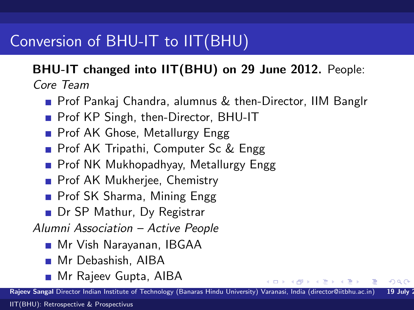# Conversion of BHU-IT to IIT(BHU)

#### BHU-IT changed into IIT(BHU) on 29 June 2012. People: Core Team

- **Prof Pankaj Chandra, alumnus & then-Director, IIM Banglr**
- **Prof KP Singh, then-Director, BHU-IT**
- **Prof AK Ghose, Metallurgy Engg.**
- **Prof AK Tripathi, Computer Sc & Engg**
- **Prof NK Mukhopadhyay, Metallurgy Engg**
- **Prof AK Mukherjee, Chemistry**
- **Prof SK Sharma, Mining Engg**
- Dr SP Mathur, Dy Registrar

Alumni Association – Active People

- Mr Vish Narayanan, IBGAA
- Mr Debashish, AIBA
- **Mr Rajeev Gupta, AIBA**

Rajeev Sangal Director Indian Institute of Technology (Banaras Hindu University) Varanasi, India (director@iitbhu.ac.in) 19 July

 $209$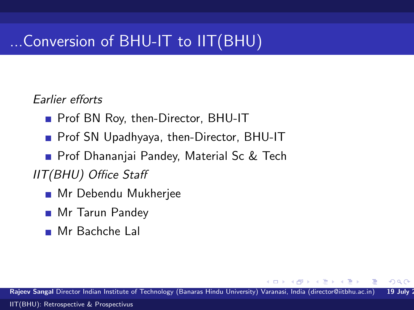# ...Conversion of BHU-IT to IIT(BHU)

#### Earlier efforts

- **Prof BN Roy, then-Director, BHU-IT**
- Prof SN Upadhyaya, then-Director, BHU-IT
- **Prof Dhananjai Pandey, Material Sc & Tech**
- IIT(BHU) Office Staff
	- **Mr Debendu Mukherjee**
	- **Mr Tarun Pandey**
	- Mr Bachche Lal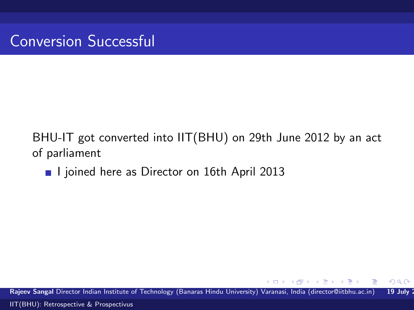#### BHU-IT got converted into IIT(BHU) on 29th June 2012 by an act of parliament

I ljoined here as Director on 16th April 2013

Rajeev Sangal Director Indian Institute of Technology (Banaras Hindu University) Varanasi, India (director@iitbhu.ac.in) 19 July 2 [IIT\(BHU\): Retrospective & Prospectivus](#page-0-0)

 $2990$ 

**Barbara**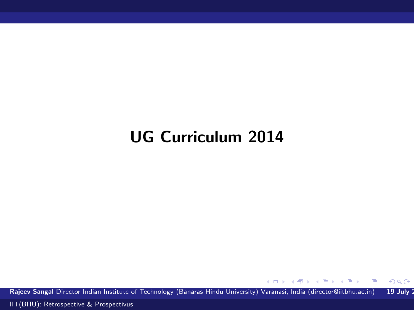# UG Curriculum 2014

Rajeev Sangal Director Indian Institute of Technology (Banaras Hindu University) Varanasi, India (director@iitbhu.ac.in) 19 July 2

 $\left\{ \begin{array}{ccc} 1 & 0 & 0 \\ 0 & 1 & 0 \end{array} \right.$ 

 $\equiv$ 

 $299$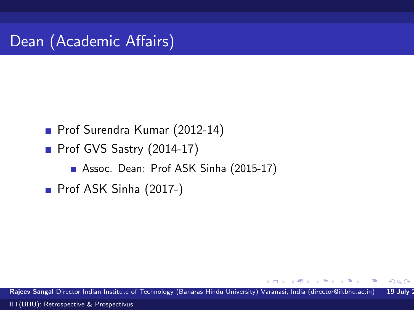Prof Surendra Kumar (2012-14)

 $\blacksquare$  Prof GVS Sastry (2014-17)

Assoc. Dean: Prof ASK Sinha (2015-17)

Prof ASK Sinha (2017-)

Rajeev Sangal Director Indian Institute of Technology (Banaras Hindu University) Varanasi, India (director@iitbhu.ac.in) 19 July 2 [IIT\(BHU\): Retrospective & Prospectivus](#page-0-0)

<span id="page-9-0"></span>**E** K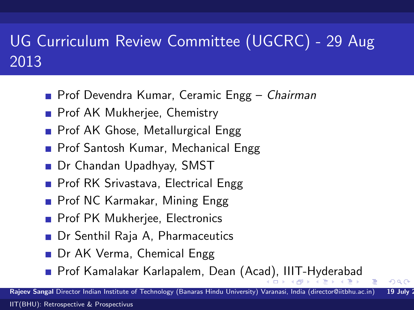# UG Curriculum Review Committee (UGCRC) - 29 Aug 2013

- **Prof Devendra Kumar, Ceramic Engg Chairman**
- **Prof AK Mukherjee, Chemistry**
- **Prof AK Ghose, Metallurgical Engg**
- **Prof Santosh Kumar, Mechanical Engg**
- Dr Chandan Upadhyay, SMST
- **Prof RK Srivastava, Electrical Engg**
- **Prof NC Karmakar, Mining Engg**
- **Prof PK Mukherjee, Electronics**
- Dr Senthil Raja A, Pharmaceutics
- Dr AK Verma, Chemical Engg
- <span id="page-10-0"></span>■ Prof Kamalakar Karlapalem, Dean (Ac[ad\)](#page-9-0), [I](#page-11-0)[II](#page-9-0)[T-](#page-10-0)[H](#page-11-0)[yd](#page-0-0)[er](#page-53-0)[ab](#page-0-0)[ad](#page-53-0)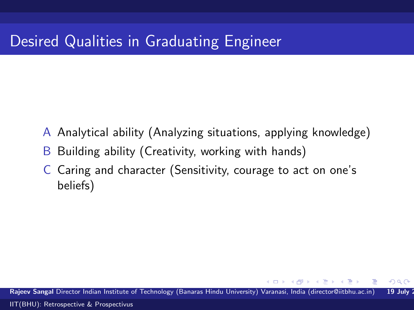# Desired Qualities in Graduating Engineer

- A Analytical ability (Analyzing situations, applying knowledge)
- B Building ability (Creativity, working with hands)
- C Caring and character (Sensitivity, courage to act on one's beliefs)

Rajeev Sangal Director Indian Institute of Technology (Banaras Hindu University) Varanasi, India (director@iitbhu.ac.in) 19 July 2 [IIT\(BHU\): Retrospective & Prospectivus](#page-0-0)

<span id="page-11-0"></span> $QQ$ 

 $\mathbf{A}$  . The first set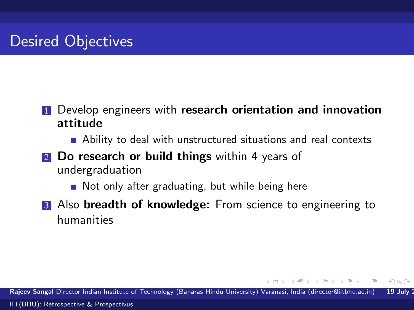- **1** Develop engineers with research orientation and innovation attitude
	- **Ability to deal with unstructured situations and real contexts**
- **2** Do research or build things within 4 years of undergraduation
	- Not only after graduating, but while being here
- 3 Also breadth of knowledge: From science to engineering to humanities

Rajeev Sangal Director Indian Institute of Technology (Banaras Hindu University) Varanasi, India (director@iitbhu.ac.in) 19 July [IIT\(BHU\): Retrospective & Prospectivus](#page-0-0)

**NATION**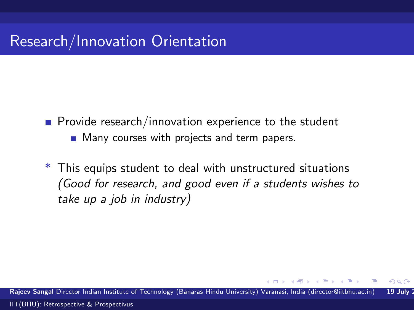# Research/Innovation Orientation

- $\blacksquare$  Provide research/innovation experience to the student **Many courses with projects and term papers.**
- \* This equips student to deal with unstructured situations (Good for research, and good even if a students wishes to take up a job in industry)

Rajeev Sangal Director Indian Institute of Technology (Banaras Hindu University) Varanasi, India (director@iitbhu.ac.in) 19 July [IIT\(BHU\): Retrospective & Prospectivus](#page-0-0)

<span id="page-13-0"></span> $QQ$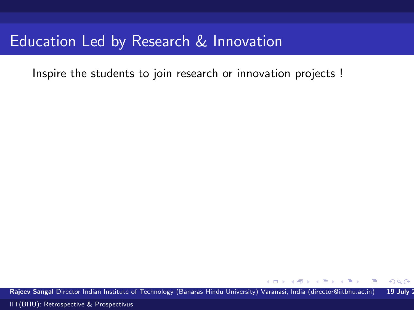Inspire the students to join research or innovation projects !

Rajeev Sangal Director Indian Institute of Technology (Banaras Hindu University) Varanasi, India (director@iitbhu.ac.in) 19 July 2

<span id="page-14-0"></span> $299$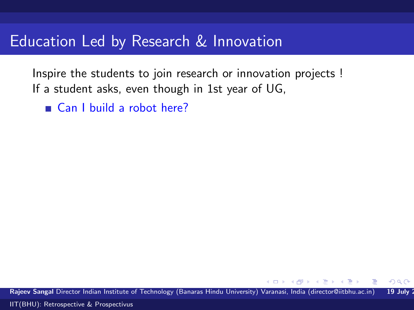Inspire the students to join research or innovation projects ! If a student asks, even though in 1st year of UG,

■ Can I build a robot here?

Rajeev Sangal Director Indian Institute of Technology (Banaras Hindu University) Varanasi, India (director@iitbhu.ac.in) 19 July 2

 $\Omega$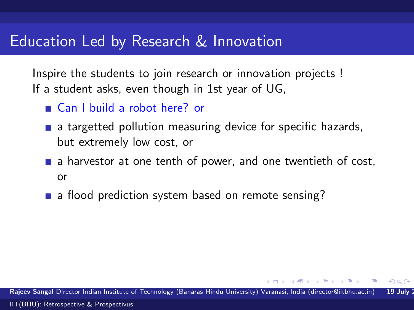Inspire the students to join research or innovation projects ! If a student asks, even though in 1st year of UG,

- Can I build a robot here? or
- **a** a targetted pollution measuring device for specific hazards, but extremely low cost, or
- $\blacksquare$  a harvestor at one tenth of power, and one twentieth of cost, or
- a flood prediction system based on remote sensing?

Rajeev Sangal Director Indian Institute of Technology (Banaras Hindu University) Varanasi, India (director@iitbhu.ac.in) 19 July [IIT\(BHU\): Retrospective & Prospectivus](#page-0-0)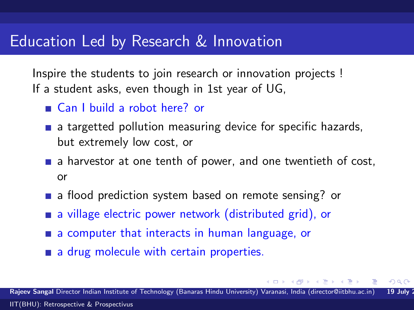Inspire the students to join research or innovation projects ! If a student asks, even though in 1st year of UG,

- Can I build a robot here? or
- a targetted pollution measuring device for specific hazards, but extremely low cost, or
- $\blacksquare$  a harvestor at one tenth of power, and one twentieth of cost, or
- a flood prediction system based on remote sensing? or
- **a** a village electric power network (distributed grid), or
- **a** a computer that interacts in human language, or
- <span id="page-17-0"></span>a drug molecule with certain properties.

Rajeev Sangal Director Indian Institute of Technology (Banaras Hindu University) Varanasi, India (director@iitbhu.ac.in) 19 July [IIT\(BHU\): Retrospective & Prospectivus](#page-0-0)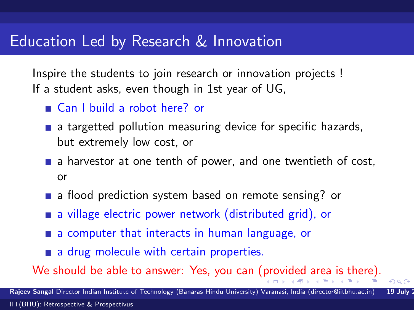Inspire the students to join research or innovation projects ! If a student asks, even though in 1st year of UG,

- Can I build a robot here? or
- a targetted pollution measuring device for specific hazards, but extremely low cost, or
- $\blacksquare$  a harvestor at one tenth of power, and one twentieth of cost, or
- a flood prediction system based on remote sensing? or
- **a** a village electric power network (distributed grid), or
- **a** a computer that interacts in human language, or
- <span id="page-18-0"></span>a drug molecule with certain properties.

We should be able to answer: Yes, you can ([pr](#page-17-0)o[vi](#page-19-0)[d](#page-13-0)[e](#page-14-0)[d](#page-18-0)[are](#page-0-0)[a i](#page-53-0)[s t](#page-0-0)[he](#page-53-0)[re](#page-0-0)[\).](#page-53-0)

Rajeev Sangal Director Indian Institute of Technology (Banaras Hindu University) Varanasi, India (director@iitbhu.ac.in) 19 July [IIT\(BHU\): Retrospective & Prospectivus](#page-0-0)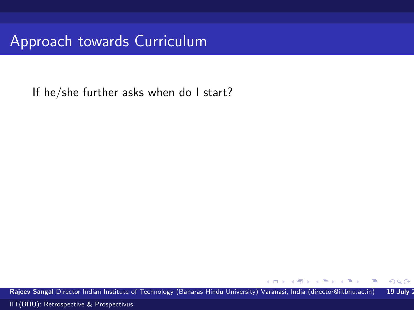Approach towards Curriculum

If he/she further asks when do I start?

Rajeev Sangal Director Indian Institute of Technology (Banaras Hindu University) Varanasi, India (director@iitbhu.ac.in) 19 July 2

 $\leftarrow$ 

÷ s

<span id="page-19-0"></span> $299$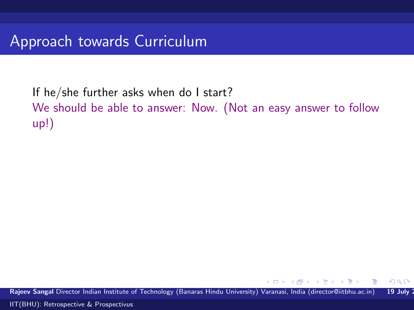If he/she further asks when do I start? We should be able to answer: Now. (Not an easy answer to follow up!)

Rajeev Sangal Director Indian Institute of Technology (Banaras Hindu University) Varanasi, India (director@iitbhu.ac.in) 19 July 2

 $QQ$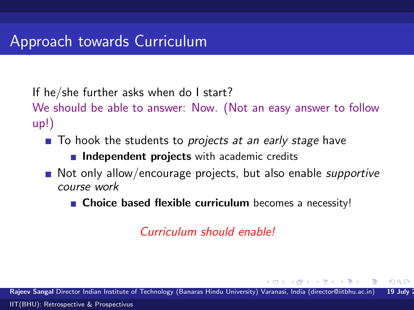If he/she further asks when do I start?

We should be able to answer: Now. (Not an easy answer to follow up!)

 $\blacksquare$  To hook the students to *projects at an early stage* have

 $\blacksquare$  Independent projects with academic credits

- $\blacksquare$  Not only allow/encourage projects, but also enable *supportive* course work
	- Choice based flexible curriculum becomes a necessity!

Curriculum should enable!

Rajeev Sangal Director Indian Institute of Technology (Banaras Hindu University) Varanasi, India (director@iitbhu.ac.in) 19 July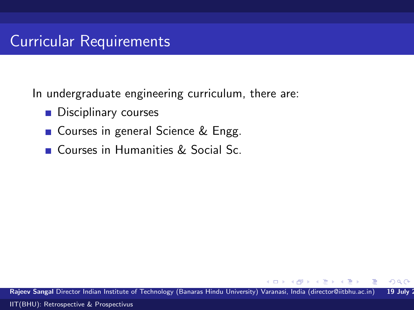### Curricular Requirements

In undergraduate engineering curriculum, there are:

- **Disciplinary courses**
- Courses in general Science & Engg.
- **Courses in Humanities & Social Sc.**

Rajeev Sangal Director Indian Institute of Technology (Banaras Hindu University) Varanasi, India (director@iitbhu.ac.in) 19 July 2

 $QQ$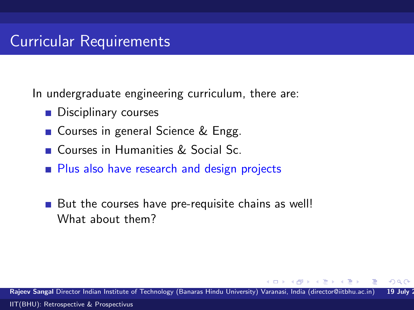#### Curricular Requirements

In undergraduate engineering curriculum, there are:

- **Disciplinary courses**
- Courses in general Science & Engg.
- **Courses in Humanities & Social Sc.**
- **Plus also have research and design projects**
- But the courses have pre-requisite chains as well! What about them?

Rajeev Sangal Director Indian Institute of Technology (Banaras Hindu University) Varanasi, India (director@iitbhu.ac.in) 19 July [IIT\(BHU\): Retrospective & Prospectivus](#page-0-0)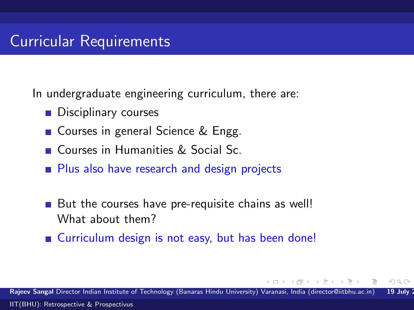#### Curricular Requirements

In undergraduate engineering curriculum, there are:

- **Disciplinary courses**
- Courses in general Science & Engg.
- Courses in Humanities & Social Sc.
- **Plus also have research and design projects**
- But the courses have pre-requisite chains as well! What about them?
- Curriculum design is not easy, but has been done!

Rajeev Sangal Director Indian Institute of Technology (Banaras Hindu University) Varanasi, India (director@iitbhu.ac.in) 19 July [IIT\(BHU\): Retrospective & Prospectivus](#page-0-0)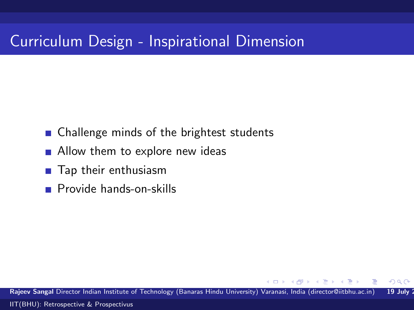### Curriculum Design - Inspirational Dimension

- Challenge minds of the brightest students
- **Allow them to explore new ideas**
- Tap their enthusiasm
- **Provide hands-on-skills**

Rajeev Sangal Director Indian Institute of Technology (Banaras Hindu University) Varanasi, India (director@iitbhu.ac.in) 19 July 2 [IIT\(BHU\): Retrospective & Prospectivus](#page-0-0)

 $QQ$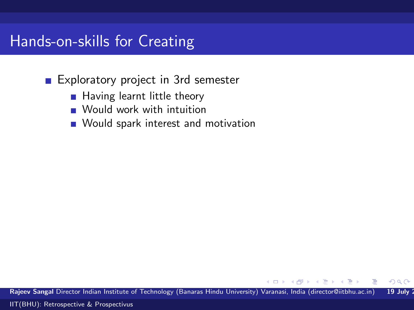Exploratory project in 3rd semester

- **Having learnt little theory**
- **Would work with intuition**
- **Nould spark interest and motivation**

Rajeev Sangal Director Indian Institute of Technology (Banaras Hindu University) Varanasi, India (director@iitbhu.ac.in) 19 July 2

 $QQ$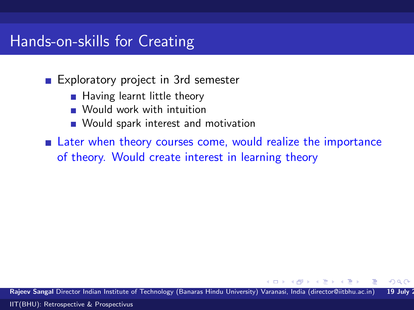Exploratory project in 3rd semester

- **Having learnt little theory**
- **Would work with intuition**
- **Nould spark interest and motivation**

**Example 1** Later when theory courses come, would realize the importance of theory. Would create interest in learning theory

Rajeev Sangal Director Indian Institute of Technology (Banaras Hindu University) Varanasi, India (director@iitbhu.ac.in) 19 July [IIT\(BHU\): Retrospective & Prospectivus](#page-0-0)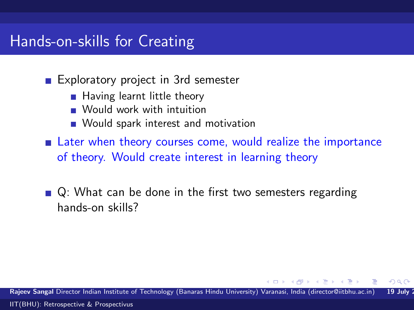Exploratory project in 3rd semester

- **Having learnt little theory**
- **Would work with intuition**
- **Nould spark interest and motivation**
- **Example 1** Later when theory courses come, would realize the importance of theory. Would create interest in learning theory
- $\blacksquare$  Q: What can be done in the first two semesters regarding hands-on skills?

Rajeev Sangal Director Indian Institute of Technology (Banaras Hindu University) Varanasi, India (director@iitbhu.ac.in) 19 July [IIT\(BHU\): Retrospective & Prospectivus](#page-0-0)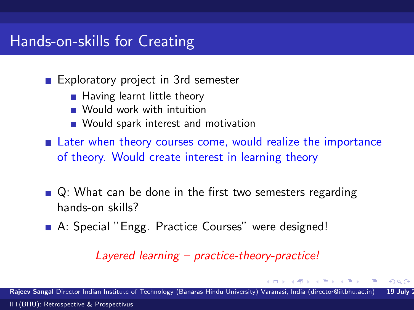Exploratory project in 3rd semester

- **Having learnt little theory**
- **Would work with intuition**
- **Nould spark interest and motivation**

**Example 1** Later when theory courses come, would realize the importance of theory. Would create interest in learning theory

- $\blacksquare$  Q: What can be done in the first two semesters regarding hands-on skills?
- A: Special "Engg. Practice Courses" were designed!

Layered learning – practice-theory-practice!

Rajeev Sangal Director Indian Institute of Technology (Banaras Hindu University) Varanasi, India (director@iitbhu.ac.in) 19 July [IIT\(BHU\): Retrospective & Prospectivus](#page-0-0)

 $QQ$ 

**STATES**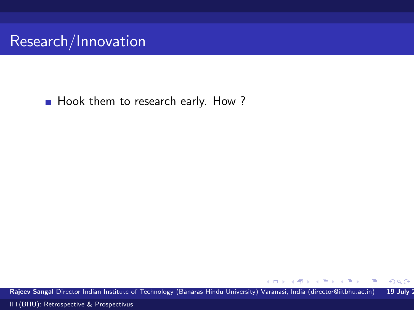

Hook them to research early. How ?

Rajeev Sangal Director Indian Institute of Technology (Banaras Hindu University) Varanasi, India (director@iitbhu.ac.in) 19 July 2

4.0.3

∢@ ▶ ∢ ∄ ▶ ∢ ∄

 $299$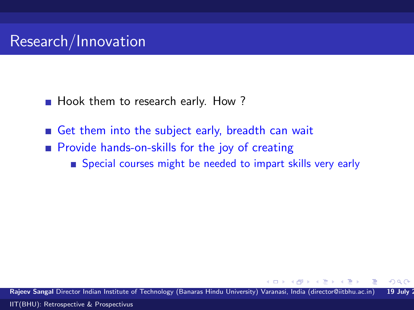- Hook them to research early. How?
- Get them into the subject early, breadth can wait
- **Provide hands-on-skills for the joy of creating** 
	- Special courses might be needed to impart skills very early

Rajeev Sangal Director Indian Institute of Technology (Banaras Hindu University) Varanasi, India (director@iitbhu.ac.in) 19 July 2 [IIT\(BHU\): Retrospective & Prospectivus](#page-0-0)

 $QQ$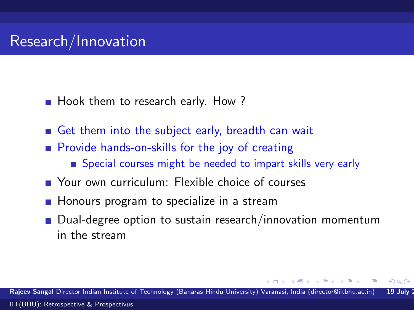- Hook them to research early. How?
- Get them into the subject early, breadth can wait
- **Provide hands-on-skills for the joy of creating** 
	- Special courses might be needed to impart skills very early
- **Nour own curriculum: Flexible choice of courses**
- **Honours program to specialize in a stream**
- Dual-degree option to sustain research/innovation momentum in the stream

Rajeev Sangal Director Indian Institute of Technology (Banaras Hindu University) Varanasi, India (director@iitbhu.ac.in) 19 July [IIT\(BHU\): Retrospective & Prospectivus](#page-0-0)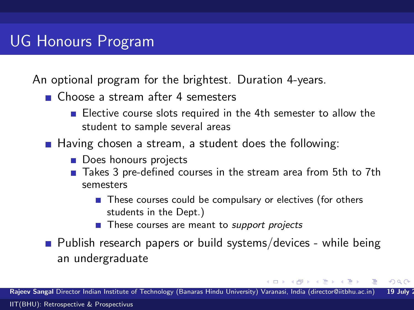# UG Honours Program

An optional program for the brightest. Duration 4-years.

- Choose a stream after 4 semesters
	- Elective course slots required in the 4th semester to allow the student to sample several areas
- **Having chosen a stream, a student does the following:** 
	- Does honours projects
	- Takes 3 pre-defined courses in the stream area from 5th to 7th semesters
		- These courses could be compulsary or electives (for others students in the Dept.)

 $QQ$ 

- These courses are meant to *support projects*
- **Publish research papers or build systems/devices while being** an undergraduate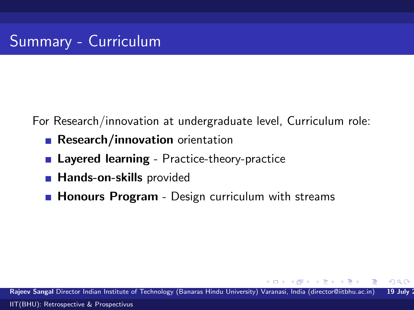For Research/innovation at undergraduate level, Curriculum role:

- Research/innovation orientation
- **Layered learning** Practice-theory-practice
- **Hands-on-skills provided**
- **Honours Program** Design curriculum with streams

Rajeev Sangal Director Indian Institute of Technology (Banaras Hindu University) Varanasi, India (director@iitbhu.ac.in) 19 July 2 [IIT\(BHU\): Retrospective & Prospectivus](#page-0-0)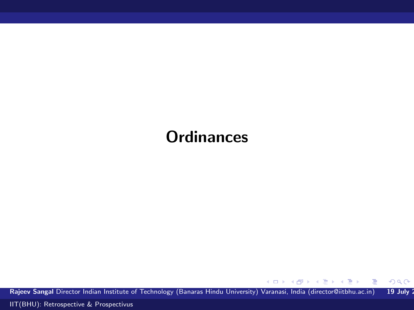# **Ordinances**

Rajeev Sangal Director Indian Institute of Technology (Banaras Hindu University) Varanasi, India (director@iitbhu.ac.in) 19 July 2

メロメ メ御メ メきメ メきメン 毛

 $299$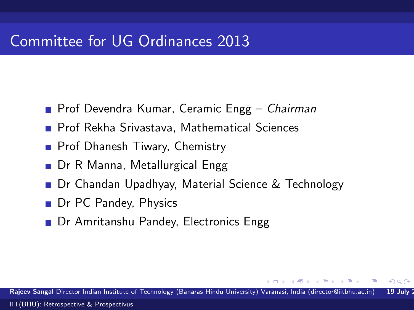#### Committee for UG Ordinances 2013

- **Prof Devendra Kumar, Ceramic Engg Chairman**
- **Prof Rekha Srivastava, Mathematical Sciences**
- **Prof Dhanesh Tiwary, Chemistry**
- Dr R Manna, Metallurgical Engg
- Dr Chandan Upadhyay, Material Science & Technology
- Dr PC Pandey, Physics
- Dr Amritanshu Pandey, Electronics Engg

Rajeev Sangal Director Indian Institute of Technology (Banaras Hindu University) Varanasi, India (director@iitbhu.ac.in) 19 July [IIT\(BHU\): Retrospective & Prospectivus](#page-0-0)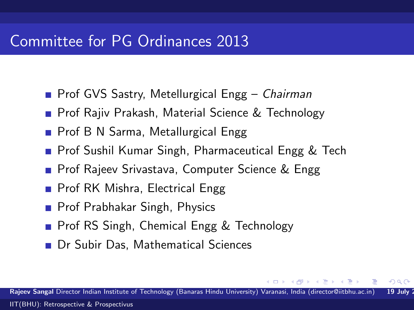#### Committee for PG Ordinances 2013

- **Prof GVS Sastry, Metellurgical Engg Chairman**
- **Prof Rajiv Prakash, Material Science & Technology**
- Prof B N Sarma, Metallurgical Engg
- **Prof Sushil Kumar Singh, Pharmaceutical Engg & Tech**
- **Prof Rajeev Srivastava, Computer Science & Engg**
- **Prof RK Mishra, Electrical Engg**
- **Prof Prabhakar Singh, Physics**
- **Prof RS Singh, Chemical Engg & Technology**
- Dr Subir Das, Mathematical Sciences

Rajeev Sangal Director Indian Institute of Technology (Banaras Hindu University) Varanasi, India (director@iitbhu.ac.in) 19 July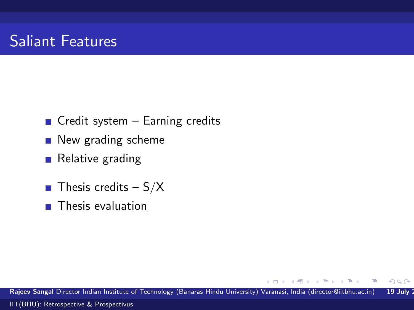### Saliant Features

- $\blacksquare$  Credit system Earning credits
- **New grading scheme**
- Relative grading
- **Thesis credits S/X**
- $\blacksquare$  Thesis evaluation

Rajeev Sangal Director Indian Institute of Technology (Banaras Hindu University) Varanasi, India (director@iitbhu.ac.in) 19 July 2 [IIT\(BHU\): Retrospective & Prospectivus](#page-0-0)

 $\leftarrow$ 

目下

 $299$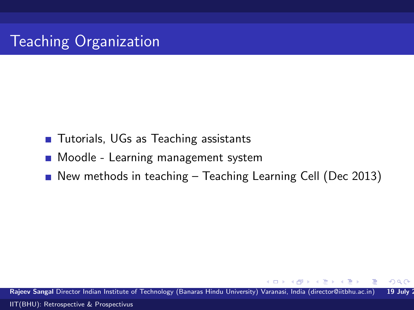- Tutorials, UGs as Teaching assistants
- **Moodle Learning management system**
- New methods in teaching  $-$  Teaching Learning Cell (Dec 2013)

Rajeev Sangal Director Indian Institute of Technology (Banaras Hindu University) Varanasi, India (director@iitbhu.ac.in) 19 July 2 [IIT\(BHU\): Retrospective & Prospectivus](#page-0-0)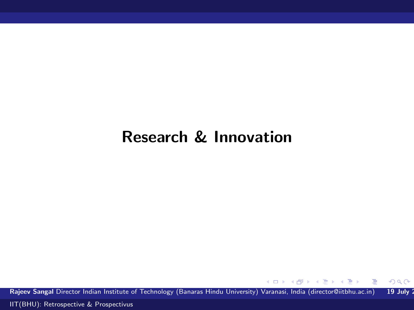### Research & Innovation

Rajeev Sangal Director Indian Institute of Technology (Banaras Hindu University) Varanasi, India (director@iitbhu.ac.in) 19 July 2

 $\left\{ \begin{array}{ccc} 1 & 0 & 0 \\ 0 & 1 & 0 \end{array} \right.$ 

E

 $299$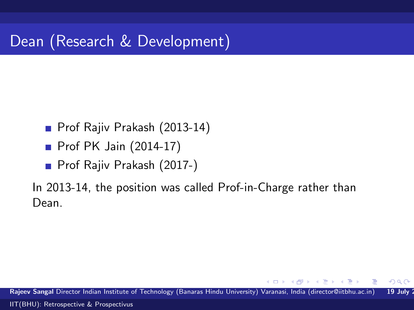# Dean (Research & Development)

- **Prof Rajiv Prakash (2013-14)**
- **Prof PK Jain (2014-17)**
- **Prof Rajiv Prakash (2017-)**

In 2013-14, the position was called Prof-in-Charge rather than Dean.

 $QQ$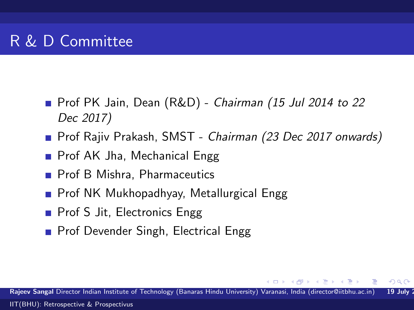- Prof PK Jain, Dean (R&D) Chairman (15 Jul 2014 to 22 Dec 2017)
- Prof Rajiv Prakash, SMST Chairman (23 Dec 2017 onwards)
- Prof AK Jha, Mechanical Engg
- **Prof B Mishra, Pharmaceutics**
- **Prof NK Mukhopadhyay, Metallurgical Engg**
- Prof S Jit, Electronics Engg
- Prof Devender Singh, Electrical Engg

Rajeev Sangal Director Indian Institute of Technology (Banaras Hindu University) Varanasi, India (director@iitbhu.ac.in) 19 July

 $\rightarrow$   $\rightarrow$   $\rightarrow$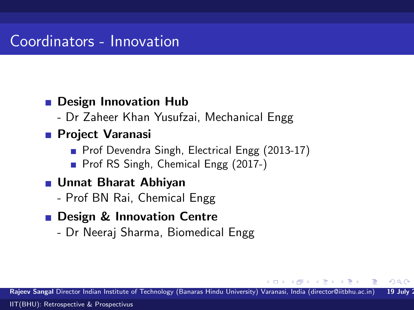#### Coordinators - Innovation

#### **Design Innovation Hub**

- Dr Zaheer Khan Yusufzai, Mechanical Engg

#### **Project Varanasi**

- Prof Devendra Singh, Electrical Engg (2013-17)
- Prof RS Singh, Chemical Engg (2017-)

#### ■ Unnat Bharat Abhiyan

- Prof BN Rai, Chemical Engg

#### **Design & Innovation Centre**

- Dr Neeraj Sharma, Biomedical Engg

Rajeev Sangal Director Indian Institute of Technology (Banaras Hindu University) Varanasi, India (director@iitbhu.ac.in) 19 July

 $\mathbf{A} = \mathbf{A} \cdot \mathbf{B} + \mathbf{A} \cdot \mathbf{B} + \mathbf{A} \cdot \mathbf{B} + \mathbf{A} \cdot \mathbf{B} + \mathbf{A} \cdot \mathbf{B} + \mathbf{A} \cdot \mathbf{B} + \mathbf{A} \cdot \mathbf{B} + \mathbf{A} \cdot \mathbf{B} + \mathbf{A} \cdot \mathbf{A} + \mathbf{B} \cdot \mathbf{A} + \mathbf{A} \cdot \mathbf{A} + \mathbf{A} \cdot \mathbf{A} + \mathbf{A} \cdot \mathbf{A} + \mathbf{A} \cdot \mathbf{A} + \mathbf$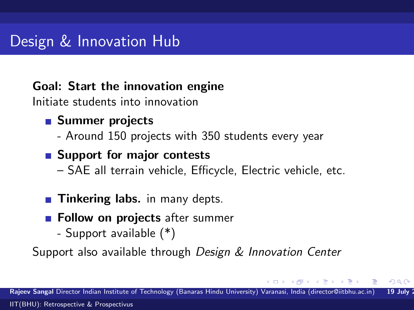### Design & Innovation Hub

#### Goal: Start the innovation engine

Initiate students into innovation

#### ■ Summer projects

- Around 150 projects with 350 students every year

#### ■ Support for major contests

– SAE all terrain vehicle, Efficycle, Electric vehicle, etc.

#### **Tinkering labs.** in many depts.

- **Follow on projects** after summer
	- Support available (\*)

Support also available through Design & Innovation Center

 $\mathbf{A}$  . The first set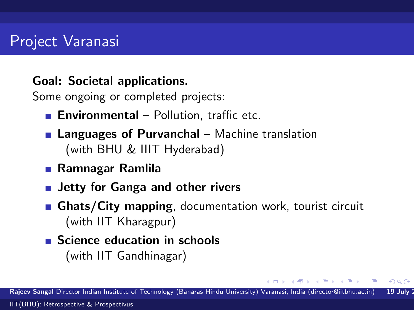#### Goal: Societal applications.

Some ongoing or completed projects:

- **Environmental** Pollution, traffic etc.
- **Languages of Purvanchal** Machine translation (with BHU & IIIT Hyderabad)
- Ramnagar Ramlila
- **Jetty for Ganga and other rivers**
- **Ghats/City mapping, documentation work, tourist circuit** (with IIT Kharagpur)
- Science education in schools (with IIT Gandhinagar)

**NATION**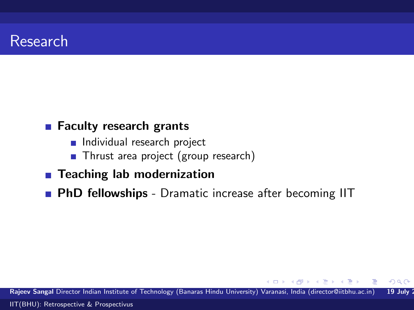#### Research

#### ■ Faculty research grants

- Individual research project
- Thrust area project (group research)
- Teaching lab modernization
- **PhD fellowships** Dramatic increase after becoming IIT

Rajeev Sangal Director Indian Institute of Technology (Banaras Hindu University) Varanasi, India (director@iitbhu.ac.in) 19 July 2 [IIT\(BHU\): Retrospective & Prospectivus](#page-0-0)

 $\mathbf{v} = \mathbf{v}$  . The  $\mathbf{v}$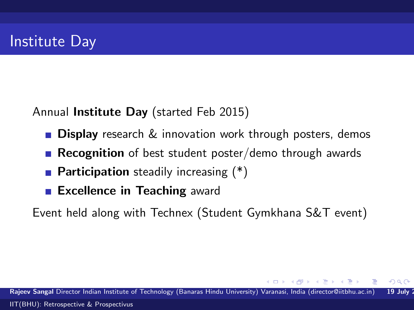Annual Institute Day (started Feb 2015)

- **Display** research & innovation work through posters, demos
- **Recognition** of best student poster/demo through awards
- **Participation** steadily increasing  $(*)$
- **Excellence in Teaching award**

Event held along with Technex (Student Gymkhana S&T event)

Rajeev Sangal Director Indian Institute of Technology (Banaras Hindu University) Varanasi, India (director@iitbhu.ac.in) 19 July [IIT\(BHU\): Retrospective & Prospectivus](#page-0-0)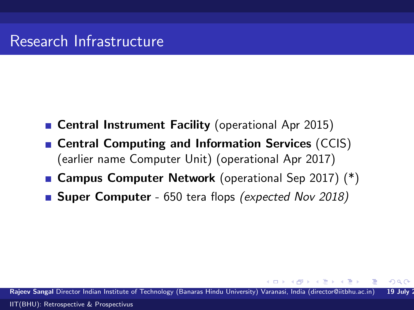- Central Instrument Facility (operational Apr 2015)
- Central Computing and Information Services (CCIS) (earlier name Computer Unit) (operational Apr 2017)
- Campus Computer Network (operational Sep 2017) (\*)
- **Super Computer** 650 tera flops *(expected Nov 2018)*

Raieev Sangal Director Indian Institute of Technology (Banaras Hindu University) Varanasi, India (director@iitbhu.ac.in) 19 July [IIT\(BHU\): Retrospective & Prospectivus](#page-0-0)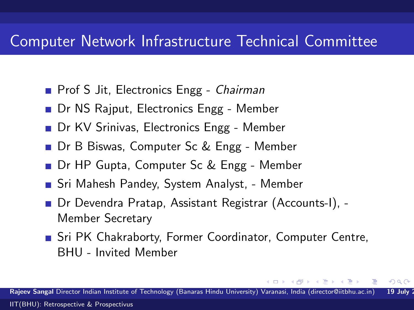#### Computer Network Infrastructure Technical Committee

- **Prof S Jit, Electronics Engg Chairman**
- Dr NS Rajput, Electronics Engg Member
- Dr KV Srinivas, Electronics Engg Member
- Dr B Biswas, Computer Sc & Engg Member
- Dr HP Gupta, Computer Sc & Engg Member
- Sri Mahesh Pandey, System Analyst, Member
- Dr Devendra Pratap, Assistant Registrar (Accounts-I), -Member Secretary
- **Sri PK Chakraborty, Former Coordinator, Computer Centre,** BHU - Invited Member

Rajeev Sangal Director Indian Institute of Technology (Banaras Hindu University) Varanasi, India (director@iitbhu.ac.in) 19 July [IIT\(BHU\): Retrospective & Prospectivus](#page-0-0)

 $\rightarrow$   $\pm$   $\rightarrow$   $\rightarrow$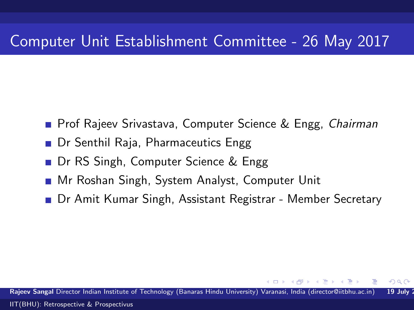### Computer Unit Establishment Committee - 26 May 2017

- **Prof Rajeev Srivastava, Computer Science & Engg, Chairman**
- Dr Senthil Raja, Pharmaceutics Engg
- Dr RS Singh, Computer Science & Engg
- Mr Roshan Singh, System Analyst, Computer Unit
- Dr Amit Kumar Singh, Assistant Registrar Member Secretary

Rajeev Sangal Director Indian Institute of Technology (Banaras Hindu University) Varanasi, India (director@iitbhu.ac.in) 19 July [IIT\(BHU\): Retrospective & Prospectivus](#page-0-0)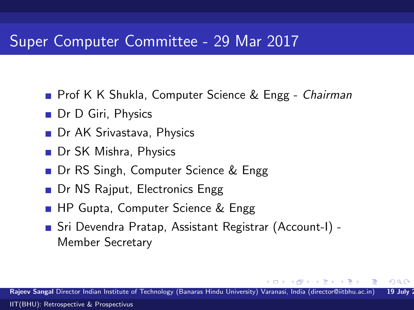#### Super Computer Committee - 29 Mar 2017

- **Prof K K Shukla, Computer Science & Engg Chairman**
- Dr D Giri, Physics
- **Dr AK Srivastava, Physics**
- Dr SK Mishra, Physics
- Dr RS Singh, Computer Science & Engg
- Dr NS Rajput, Electronics Engg
- **HP Gupta, Computer Science & Engg**
- Sri Devendra Pratap, Assistant Registrar (Account-I) Member Secretary

Rajeev Sangal Director Indian Institute of Technology (Banaras Hindu University) Varanasi, India (director@iitbhu.ac.in) 19 July [IIT\(BHU\): Retrospective & Prospectivus](#page-0-0)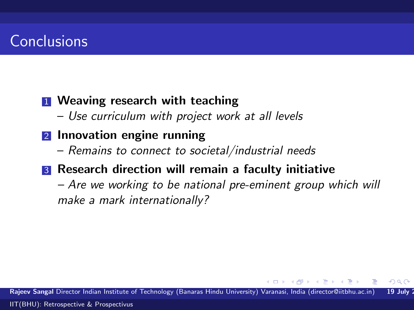### **Conclusions**

#### **1** Weaving research with teaching

– Use curriculum with project work at all levels

#### 2 Innovation engine running

– Remains to connect to societal/industrial needs

#### **3** Research direction will remain a faculty initiative

– Are we working to be national pre-eminent group which will make a mark internationally?

Rajeev Sangal Director Indian Institute of Technology (Banaras Hindu University) Varanasi, India (director@iitbhu.ac.in) 19 July [IIT\(BHU\): Retrospective & Prospectivus](#page-0-0)